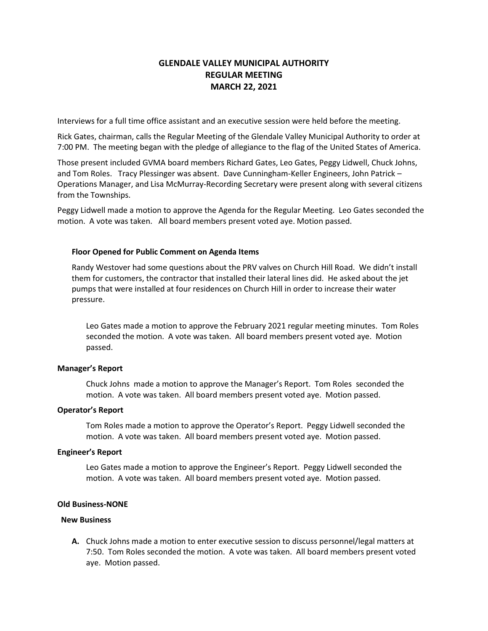# **GLENDALE VALLEY MUNICIPAL AUTHORITY REGULAR MEETING MARCH 22, 2021**

Interviews for a full time office assistant and an executive session were held before the meeting.

Rick Gates, chairman, calls the Regular Meeting of the Glendale Valley Municipal Authority to order at 7:00 PM. The meeting began with the pledge of allegiance to the flag of the United States of America.

Those present included GVMA board members Richard Gates, Leo Gates, Peggy Lidwell, Chuck Johns, and Tom Roles. Tracy Plessinger was absent. Dave Cunningham-Keller Engineers, John Patrick – Operations Manager, and Lisa McMurray-Recording Secretary were present along with several citizens from the Townships.

Peggy Lidwell made a motion to approve the Agenda for the Regular Meeting. Leo Gates seconded the motion. A vote was taken. All board members present voted aye. Motion passed.

## **Floor Opened for Public Comment on Agenda Items**

Randy Westover had some questions about the PRV valves on Church Hill Road. We didn't install them for customers, the contractor that installed their lateral lines did. He asked about the jet pumps that were installed at four residences on Church Hill in order to increase their water pressure.

Leo Gates made a motion to approve the February 2021 regular meeting minutes. Tom Roles seconded the motion. A vote was taken. All board members present voted aye. Motion passed.

### **Manager's Report**

Chuck Johns made a motion to approve the Manager's Report. Tom Roles seconded the motion. A vote was taken. All board members present voted aye. Motion passed.

### **Operator's Report**

Tom Roles made a motion to approve the Operator's Report. Peggy Lidwell seconded the motion. A vote was taken. All board members present voted aye. Motion passed.

### **Engineer's Report**

Leo Gates made a motion to approve the Engineer's Report. Peggy Lidwell seconded the motion. A vote was taken. All board members present voted aye. Motion passed.

### **Old Business-NONE**

### **New Business**

**A.** Chuck Johns made a motion to enter executive session to discuss personnel/legal matters at 7:50. Tom Roles seconded the motion. A vote was taken. All board members present voted aye. Motion passed.